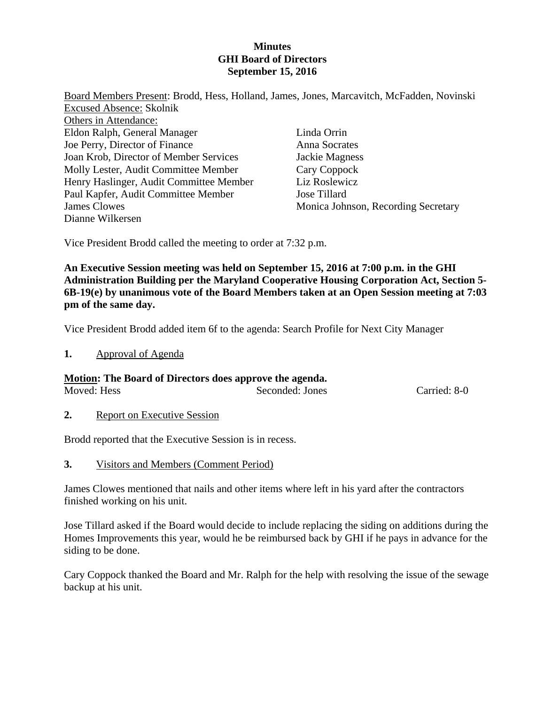# **Minutes GHI Board of Directors September 15, 2016**

| Board Members Present: Brodd, Hess, Holland, James, Jones, Marcavitch, McFadden, Novinski |                                     |
|-------------------------------------------------------------------------------------------|-------------------------------------|
| <b>Excused Absence: Skolnik</b>                                                           |                                     |
| Others in Attendance:                                                                     |                                     |
| Eldon Ralph, General Manager                                                              | Linda Orrin                         |
| Joe Perry, Director of Finance                                                            | Anna Socrates                       |
| Joan Krob, Director of Member Services                                                    | Jackie Magness                      |
| Molly Lester, Audit Committee Member                                                      | Cary Coppock                        |
| Henry Haslinger, Audit Committee Member                                                   | Liz Roslewicz                       |
| Paul Kapfer, Audit Committee Member                                                       | Jose Tillard                        |
| James Clowes                                                                              | Monica Johnson, Recording Secretary |
| Dianne Wilkersen                                                                          |                                     |

Vice President Brodd called the meeting to order at 7:32 p.m.

**An Executive Session meeting was held on September 15, 2016 at 7:00 p.m. in the GHI Administration Building per the Maryland Cooperative Housing Corporation Act, Section 5- 6B-19(e) by unanimous vote of the Board Members taken at an Open Session meeting at 7:03 pm of the same day.** 

Vice President Brodd added item 6f to the agenda: Search Profile for Next City Manager

**1.** Approval of Agenda

## **Motion: The Board of Directors does approve the agenda.**

| Moved: Hess | Seconded: Jones | Carried: 8-0 |
|-------------|-----------------|--------------|

**2.** Report on Executive Session

Brodd reported that the Executive Session is in recess.

**3.** Visitors and Members (Comment Period)

James Clowes mentioned that nails and other items where left in his yard after the contractors finished working on his unit.

Jose Tillard asked if the Board would decide to include replacing the siding on additions during the Homes Improvements this year, would he be reimbursed back by GHI if he pays in advance for the siding to be done.

Cary Coppock thanked the Board and Mr. Ralph for the help with resolving the issue of the sewage backup at his unit.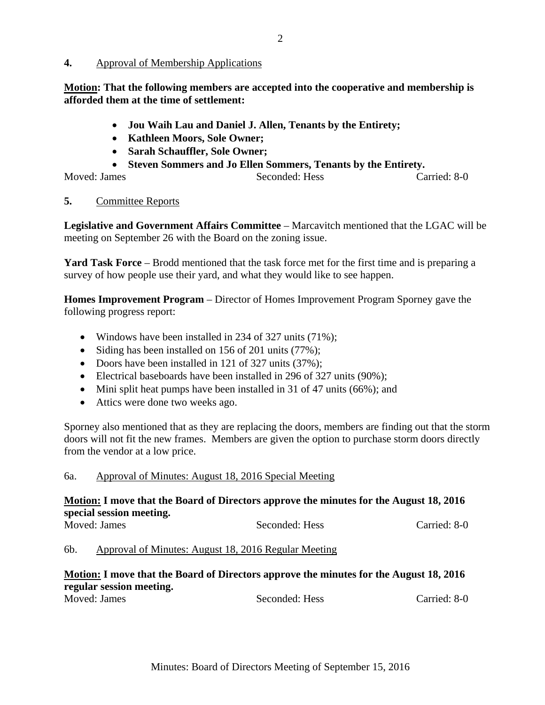## **4.** Approval of Membership Applications

**Motion: That the following members are accepted into the cooperative and membership is afforded them at the time of settlement:** 

- **Jou Waih Lau and Daniel J. Allen, Tenants by the Entirety;**
- **Kathleen Moors, Sole Owner;**
- **Sarah Schauffler, Sole Owner;**
- **Steven Sommers and Jo Ellen Sommers, Tenants by the Entirety.**

Moved: James Seconded: Hess Carried: 8-0

## **5.** Committee Reports

**Legislative and Government Affairs Committee** – Marcavitch mentioned that the LGAC will be meeting on September 26 with the Board on the zoning issue.

**Yard Task Force** – Brodd mentioned that the task force met for the first time and is preparing a survey of how people use their yard, and what they would like to see happen.

**Homes Improvement Program** – Director of Homes Improvement Program Sporney gave the following progress report:

- Windows have been installed in 234 of 327 units (71%);
- Siding has been installed on 156 of 201 units (77%);
- Doors have been installed in 121 of 327 units (37%);
- Electrical baseboards have been installed in 296 of 327 units (90%);
- Mini split heat pumps have been installed in 31 of 47 units (66%); and
- Attics were done two weeks ago.

Sporney also mentioned that as they are replacing the doors, members are finding out that the storm doors will not fit the new frames. Members are given the option to purchase storm doors directly from the vendor at a low price.

## 6a. Approval of Minutes: August 18, 2016 Special Meeting

# **Motion: I move that the Board of Directors approve the minutes for the August 18, 2016 special session meeting.**

| Moved: James | Seconded: Hess | Carried: 8-0 |
|--------------|----------------|--------------|
|              |                |              |

6b. Approval of Minutes: August 18, 2016 Regular Meeting

#### **Motion: I move that the Board of Directors approve the minutes for the August 18, 2016 regular session meeting.**  Moved: James Seconded: Hess Carried: 8-0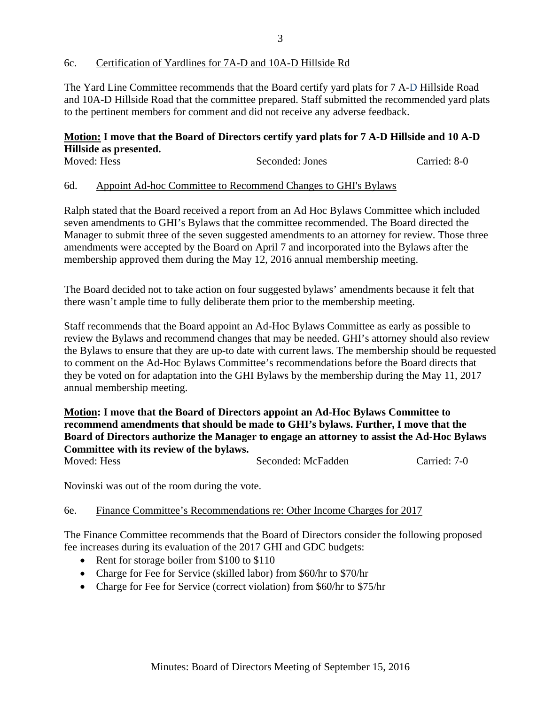## 6c. Certification of Yardlines for 7A-D and 10A-D Hillside Rd

The Yard Line Committee recommends that the Board certify yard plats for 7 A-D Hillside Road and 10A-D Hillside Road that the committee prepared. Staff submitted the recommended yard plats to the pertinent members for comment and did not receive any adverse feedback.

# **Motion: I move that the Board of Directors certify yard plats for 7 A-D Hillside and 10 A-D Hillside as presented.**

| Moved: Hess | Seconded: Jones | Carried: 8-0 |
|-------------|-----------------|--------------|
|             |                 |              |

#### 6d. Appoint Ad-hoc Committee to Recommend Changes to GHI's Bylaws

Ralph stated that the Board received a report from an Ad Hoc Bylaws Committee which included seven amendments to GHI's Bylaws that the committee recommended. The Board directed the Manager to submit three of the seven suggested amendments to an attorney for review. Those three amendments were accepted by the Board on April 7 and incorporated into the Bylaws after the membership approved them during the May 12, 2016 annual membership meeting.

The Board decided not to take action on four suggested bylaws' amendments because it felt that there wasn't ample time to fully deliberate them prior to the membership meeting.

Staff recommends that the Board appoint an Ad-Hoc Bylaws Committee as early as possible to review the Bylaws and recommend changes that may be needed. GHI's attorney should also review the Bylaws to ensure that they are up-to date with current laws. The membership should be requested to comment on the Ad-Hoc Bylaws Committee's recommendations before the Board directs that they be voted on for adaptation into the GHI Bylaws by the membership during the May 11, 2017 annual membership meeting.

# **Motion: I move that the Board of Directors appoint an Ad-Hoc Bylaws Committee to recommend amendments that should be made to GHI's bylaws. Further, I move that the Board of Directors authorize the Manager to engage an attorney to assist the Ad-Hoc Bylaws Committee with its review of the bylaws.**

Moved: Hess Seconded: McFadden Carried: 7-0

Novinski was out of the room during the vote.

#### 6e. Finance Committee's Recommendations re: Other Income Charges for 2017

The Finance Committee recommends that the Board of Directors consider the following proposed fee increases during its evaluation of the 2017 GHI and GDC budgets:

- Rent for storage boiler from \$100 to \$110
- Charge for Fee for Service (skilled labor) from \$60/hr to \$70/hr
- Charge for Fee for Service (correct violation) from \$60/hr to \$75/hr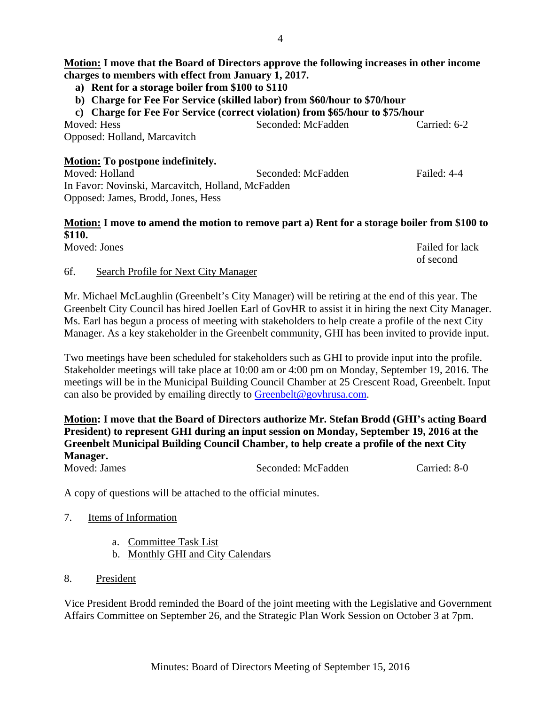# **Motion: I move that the Board of Directors approve the following increases in other income charges to members with effect from January 1, 2017.**

- **a) Rent for a storage boiler from \$100 to \$110**
- **b) Charge for Fee For Service (skilled labor) from \$60/hour to \$70/hour**

**c) Charge for Fee For Service (correct violation) from \$65/hour to \$75/hour**  Moved: Hess Seconded: McFadden Carried: 6-2 Opposed: Holland, Marcavitch

# **Motion: To postpone indefinitely.**

Moved: Holland Seconded: McFadden Failed: 4-4 In Favor: Novinski, Marcavitch, Holland, McFadden Opposed: James, Brodd, Jones, Hess

# **Motion: I move to amend the motion to remove part a) Rent for a storage boiler from \$100 to \$110.**

| Moved: Jones | Failed for lack |
|--------------|-----------------|
|              | of second       |

# 6f. Search Profile for Next City Manager

Mr. Michael McLaughlin (Greenbelt's City Manager) will be retiring at the end of this year. The Greenbelt City Council has hired Joellen Earl of GovHR to assist it in hiring the next City Manager. Ms. Earl has begun a process of meeting with stakeholders to help create a profile of the next City Manager. As a key stakeholder in the Greenbelt community, GHI has been invited to provide input.

Two meetings have been scheduled for stakeholders such as GHI to provide input into the profile. Stakeholder meetings will take place at 10:00 am or 4:00 pm on Monday, September 19, 2016. The meetings will be in the Municipal Building Council Chamber at 25 Crescent Road, Greenbelt. Input can also be provided by emailing directly to Greenbelt@govhrusa.com.

# **Motion: I move that the Board of Directors authorize Mr. Stefan Brodd (GHI's acting Board President) to represent GHI during an input session on Monday, September 19, 2016 at the Greenbelt Municipal Building Council Chamber, to help create a profile of the next City Manager.**

Moved: James Seconded: McFadden Carried: 8-0

A copy of questions will be attached to the official minutes.

- 7. Items of Information
	- a. Committee Task List
	- b. Monthly GHI and City Calendars
- 8. President

Vice President Brodd reminded the Board of the joint meeting with the Legislative and Government Affairs Committee on September 26, and the Strategic Plan Work Session on October 3 at 7pm.